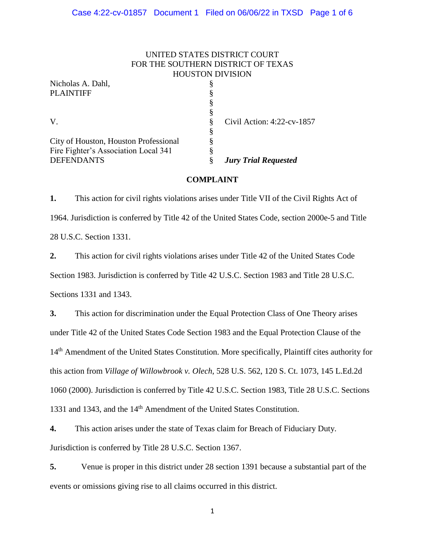### UNITED STATES DISTRICT COURT FOR THE SOUTHERN DISTRICT OF TEXAS HOUSTON DIVISION

| Nicholas A. Dahl,                     |   |                             |
|---------------------------------------|---|-----------------------------|
| <b>PLAINTIFF</b>                      | 8 |                             |
|                                       | 8 |                             |
|                                       | ş |                             |
| V.                                    | 8 | Civil Action: 4:22-cv-1857  |
|                                       | § |                             |
| City of Houston, Houston Professional |   |                             |
| Fire Fighter's Association Local 341  | 8 |                             |
| <b>DEFENDANTS</b>                     |   | <b>Jury Trial Requested</b> |

### **COMPLAINT**

**1.** This action for civil rights violations arises under Title VII of the Civil Rights Act of 1964. Jurisdiction is conferred by Title 42 of the United States Code, section 2000e-5 and Title 28 U.S.C. Section 1331.

**2.** This action for civil rights violations arises under Title 42 of the United States Code Section 1983. Jurisdiction is conferred by Title 42 U.S.C. Section 1983 and Title 28 U.S.C. Sections 1331 and 1343.

**3.** This action for discrimination under the Equal Protection Class of One Theory arises under Title 42 of the United States Code Section 1983 and the Equal Protection Clause of the 14<sup>th</sup> Amendment of the United States Constitution. More specifically, Plaintiff cites authority for this action from *Village of Willowbrook v. Olech*, 528 U.S. 562, 120 S. Ct. 1073, 145 L.Ed.2d 1060 (2000). Jurisdiction is conferred by Title 42 U.S.C. Section 1983, Title 28 U.S.C. Sections 1331 and 1343, and the 14<sup>th</sup> Amendment of the United States Constitution.

**4.** This action arises under the state of Texas claim for Breach of Fiduciary Duty. Jurisdiction is conferred by Title 28 U.S.C. Section 1367.

**5.** Venue is proper in this district under 28 section 1391 because a substantial part of the events or omissions giving rise to all claims occurred in this district.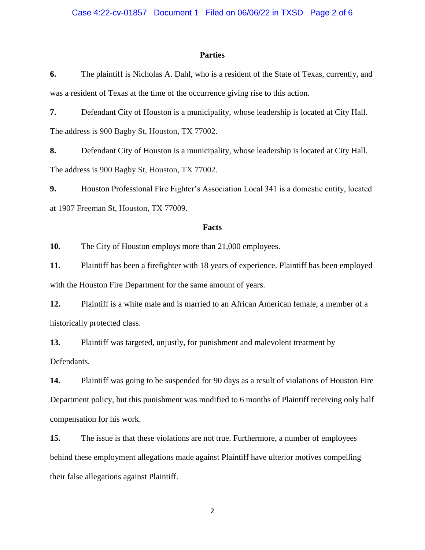#### **Parties**

**6.** The plaintiff is Nicholas A. Dahl, who is a resident of the State of Texas, currently, and was a resident of Texas at the time of the occurrence giving rise to this action.

**7.** Defendant City of Houston is a municipality, whose leadership is located at City Hall. The address is 900 Bagby St, Houston, TX 77002.

**8.** Defendant City of Houston is a municipality, whose leadership is located at City Hall. The address is 900 Bagby St, Houston, TX 77002.

**9.** Houston Professional Fire Fighter's Association Local 341 is a domestic entity, located at 1907 Freeman St, Houston, TX 77009.

#### **Facts**

**10.** The City of Houston employs more than 21,000 employees.

**11.** Plaintiff has been a firefighter with 18 years of experience. Plaintiff has been employed with the Houston Fire Department for the same amount of years.

**12.** Plaintiff is a white male and is married to an African American female, a member of a historically protected class.

**13.** Plaintiff was targeted, unjustly, for punishment and malevolent treatment by Defendants.

**14.** Plaintiff was going to be suspended for 90 days as a result of violations of Houston Fire Department policy, but this punishment was modified to 6 months of Plaintiff receiving only half compensation for his work.

**15.** The issue is that these violations are not true. Furthermore, a number of employees behind these employment allegations made against Plaintiff have ulterior motives compelling their false allegations against Plaintiff.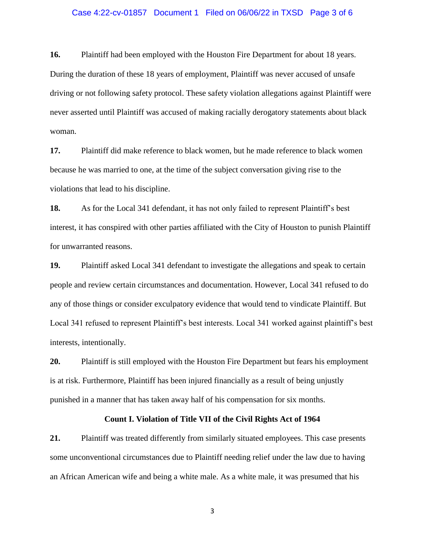#### Case 4:22-cv-01857 Document 1 Filed on 06/06/22 in TXSD Page 3 of 6

**16.** Plaintiff had been employed with the Houston Fire Department for about 18 years. During the duration of these 18 years of employment, Plaintiff was never accused of unsafe driving or not following safety protocol. These safety violation allegations against Plaintiff were never asserted until Plaintiff was accused of making racially derogatory statements about black woman.

**17.** Plaintiff did make reference to black women, but he made reference to black women because he was married to one, at the time of the subject conversation giving rise to the violations that lead to his discipline.

**18.** As for the Local 341 defendant, it has not only failed to represent Plaintiff's best interest, it has conspired with other parties affiliated with the City of Houston to punish Plaintiff for unwarranted reasons.

**19.** Plaintiff asked Local 341 defendant to investigate the allegations and speak to certain people and review certain circumstances and documentation. However, Local 341 refused to do any of those things or consider exculpatory evidence that would tend to vindicate Plaintiff. But Local 341 refused to represent Plaintiff's best interests. Local 341 worked against plaintiff's best interests, intentionally.

**20.** Plaintiff is still employed with the Houston Fire Department but fears his employment is at risk. Furthermore, Plaintiff has been injured financially as a result of being unjustly punished in a manner that has taken away half of his compensation for six months.

### **Count I. Violation of Title VII of the Civil Rights Act of 1964**

**21.** Plaintiff was treated differently from similarly situated employees. This case presents some unconventional circumstances due to Plaintiff needing relief under the law due to having an African American wife and being a white male. As a white male, it was presumed that his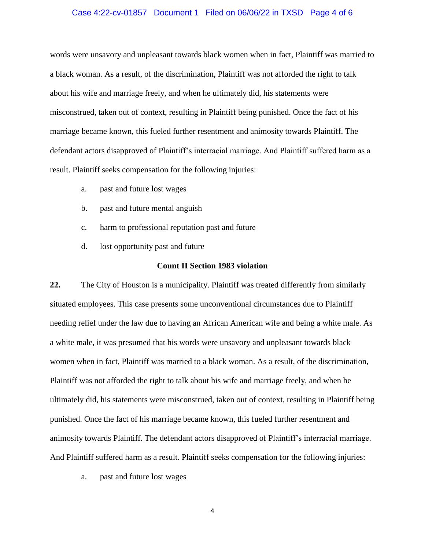#### Case 4:22-cv-01857 Document 1 Filed on 06/06/22 in TXSD Page 4 of 6

words were unsavory and unpleasant towards black women when in fact, Plaintiff was married to a black woman. As a result, of the discrimination, Plaintiff was not afforded the right to talk about his wife and marriage freely, and when he ultimately did, his statements were misconstrued, taken out of context, resulting in Plaintiff being punished. Once the fact of his marriage became known, this fueled further resentment and animosity towards Plaintiff. The defendant actors disapproved of Plaintiff's interracial marriage. And Plaintiff suffered harm as a result. Plaintiff seeks compensation for the following injuries:

- a. past and future lost wages
- b. past and future mental anguish
- c. harm to professional reputation past and future
- d. lost opportunity past and future

#### **Count II Section 1983 violation**

**22.** The City of Houston is a municipality. Plaintiff was treated differently from similarly situated employees. This case presents some unconventional circumstances due to Plaintiff needing relief under the law due to having an African American wife and being a white male. As a white male, it was presumed that his words were unsavory and unpleasant towards black women when in fact, Plaintiff was married to a black woman. As a result, of the discrimination, Plaintiff was not afforded the right to talk about his wife and marriage freely, and when he ultimately did, his statements were misconstrued, taken out of context, resulting in Plaintiff being punished. Once the fact of his marriage became known, this fueled further resentment and animosity towards Plaintiff. The defendant actors disapproved of Plaintiff's interracial marriage. And Plaintiff suffered harm as a result. Plaintiff seeks compensation for the following injuries:

a. past and future lost wages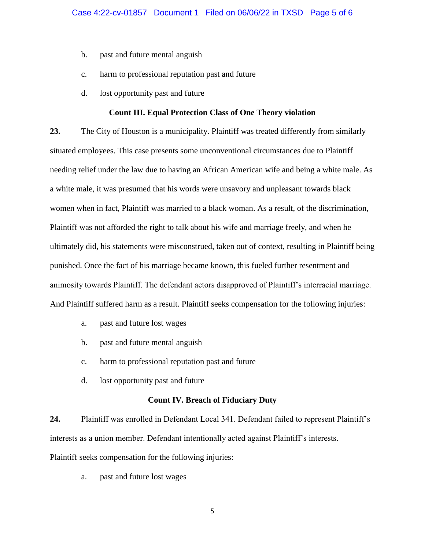- b. past and future mental anguish
- c. harm to professional reputation past and future
- d. lost opportunity past and future

### **Count III. Equal Protection Class of One Theory violation**

**23.** The City of Houston is a municipality. Plaintiff was treated differently from similarly situated employees. This case presents some unconventional circumstances due to Plaintiff needing relief under the law due to having an African American wife and being a white male. As a white male, it was presumed that his words were unsavory and unpleasant towards black women when in fact, Plaintiff was married to a black woman. As a result, of the discrimination, Plaintiff was not afforded the right to talk about his wife and marriage freely, and when he ultimately did, his statements were misconstrued, taken out of context, resulting in Plaintiff being punished. Once the fact of his marriage became known, this fueled further resentment and animosity towards Plaintiff. The defendant actors disapproved of Plaintiff's interracial marriage. And Plaintiff suffered harm as a result. Plaintiff seeks compensation for the following injuries:

- a. past and future lost wages
- b. past and future mental anguish
- c. harm to professional reputation past and future
- d. lost opportunity past and future

#### **Count IV. Breach of Fiduciary Duty**

**24.** Plaintiff was enrolled in Defendant Local 341. Defendant failed to represent Plaintiff's interests as a union member. Defendant intentionally acted against Plaintiff's interests. Plaintiff seeks compensation for the following injuries:

a. past and future lost wages